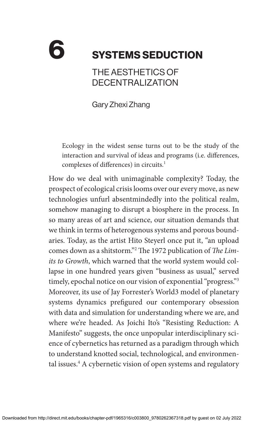# SYSTEMS SEDUCTION 6

## THE AESTHETICS OF DECENTRALIZATION

Gary Zhexi Zhang

Ecology in the widest sense turns out to be the study of the interaction and survival of ideas and programs (i.e. differences, complexes of differences) in circuits.<sup>1</sup>

How do we deal with unimaginable complexity? Today, the prospect of ecological crisis looms over our every move, as new technologies unfurl absentmindedly into the political realm, somehow managing to disrupt a biosphere in the process. In so many areas of art and science, our situation demands that we think in terms of heterogenous systems and porous boundaries. Today, as the artist Hito Steyerl once put it, "an upload comes down as a shitstorm."2 The 1972 publication of *The Limits to Growth*, which warned that the world system would collapse in one hundred years given "business as usual," served timely, epochal notice on our vision of exponential "progress."3 Moreover, its use of Jay Forrester's World3 model of planetary systems dynamics prefigured our contemporary obsession with data and simulation for understanding where we are, and where we're headed. As Joichi Ito's "Resisting Reduction: A Manifesto" suggests, the once unpopular interdisciplinary science of cybernetics has returned as a paradigm through which to understand knotted social, technological, and environmental issues.<sup>4</sup> A cybernetic vision of open systems and regulatory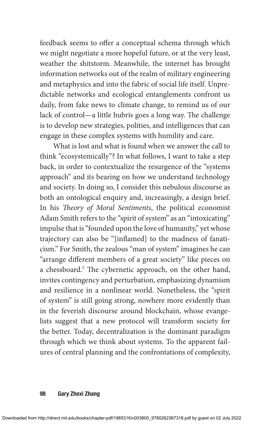feedback seems to offer a conceptual schema through which we might negotiate a more hopeful future, or at the very least, weather the shitstorm. Meanwhile, the internet has brought information networks out of the realm of military engineering and metaphysics and into the fabric of social life itself. Unpredictable networks and ecological entanglements confront us daily, from fake news to climate change, to remind us of our lack of control—a little hubris goes a long way. The challenge is to develop new strategies, polities, and intelligences that can engage in these complex systems with humility and care.

What is lost and what is found when we answer the call to think "ecosystemically"? In what follows, I want to take a step back, in order to contextualize the resurgence of the "systems approach" and its bearing on how we understand technology and society. In doing so, I consider this nebulous discourse as both an ontological enquiry and, increasingly, a design brief. In his *Theory of Moral Sentiments*, the political economist Adam Smith refers to the "spirit of system" as an "intoxicating" impulse that is "founded upon the love of humanity," yet whose trajectory can also be "[inflamed] to the madness of fanaticism." For Smith, the zealous "man of system" imagines he can "arrange different members of a great society" like pieces on a chessboard.<sup>5</sup> The cybernetic approach, on the other hand, invites contingency and perturbation, emphasizing dynamism and resilience in a nonlinear world. Nonetheless, the "spirit of system" is still going strong, nowhere more evidently than in the feverish discourse around blockchain, whose evangelists suggest that a new protocol will transform society for the better. Today, decentralization is the dominant paradigm through which we think about systems. To the apparent failures of central planning and the confrontations of complexity,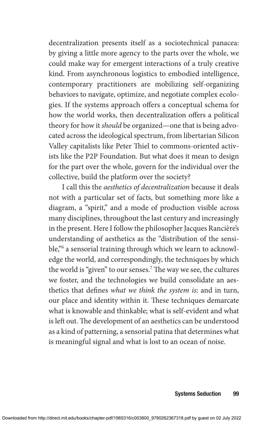decentralization presents itself as a sociotechnical panacea: by giving a little more agency to the parts over the whole, we could make way for emergent interactions of a truly creative kind. From asynchronous logistics to embodied intelligence, contemporary practitioners are mobilizing self-organizing behaviors to navigate, optimize, and negotiate complex ecologies. If the systems approach offers a conceptual schema for how the world works, then decentralization offers a political theory for how it *should* be organized—one that is being advocated across the ideological spectrum, from libertarian Silicon Valley capitalists like Peter Thiel to commons-oriented activists like the P2P Foundation. But what does it mean to design for the part over the whole, govern for the individual over the collective, build the platform over the society?

I call this the *aesthetics of decentralization* because it deals not with a particular set of facts, but something more like a diagram, a "spirit," and a mode of production visible across many disciplines, throughout the last century and increasingly in the present. Here I follow the philosopher Jacques Rancière's understanding of aesthetics as the "distribution of the sensible,"6 a sensorial training through which we learn to acknowledge the world, and correspondingly, the techniques by which the world is "given" to our senses.<sup>7</sup> The way we see, the cultures we foster, and the technologies we build consolidate an aesthetics that defines *what we think the system is*: and in turn, our place and identity within it. These techniques demarcate what is knowable and thinkable; what is self-evident and what is left out. The development of an aesthetics can be understood as a kind of patterning, a sensorial patina that determines what is meaningful signal and what is lost to an ocean of noise.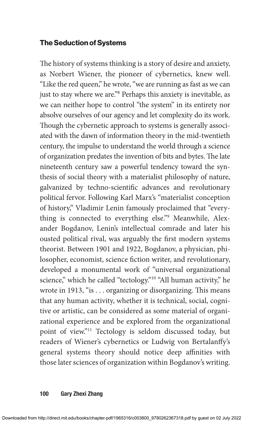### The Seduction of Systems

The history of systems thinking is a story of desire and anxiety, as Norbert Wiener, the pioneer of cybernetics, knew well. "Like the red queen," he wrote, "we are running as fast as we can just to stay where we are."8 Perhaps this anxiety is inevitable, as we can neither hope to control "the system" in its entirety nor absolve ourselves of our agency and let complexity do its work. Though the cybernetic approach to systems is generally associated with the dawn of information theory in the mid-twentieth century, the impulse to understand the world through a science of organization predates the invention of bits and bytes. The late nineteenth century saw a powerful tendency toward the synthesis of social theory with a materialist philosophy of nature, galvanized by techno-scientific advances and revolutionary political fervor. Following Karl Marx's "materialist conception of history," Vladimir Lenin famously proclaimed that "everything is connected to everything else."9 Meanwhile, Alexander Bogdanov, Lenin's intellectual comrade and later his ousted political rival, was arguably the first modern systems theorist. Between 1901 and 1922, Bogdanov, a physician, philosopher, economist, science fiction writer, and revolutionary, developed a monumental work of "universal organizational science," which he called "tectology."10 "All human activity," he wrote in 1913, "is . . . organizing or disorganizing. This means that any human activity, whether it is technical, social, cognitive or artistic, can be considered as some material of organizational experience and be explored from the organizational point of view."<sup>11</sup> Tectology is seldom discussed today, but readers of Wiener's cybernetics or Ludwig von Bertalanffy's general systems theory should notice deep affinities with those later sciences of organization within Bogdanov's writing.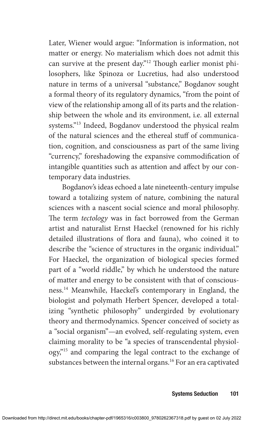Later, Wiener would argue: "Information is information, not matter or energy. No materialism which does not admit this can survive at the present day."<sup>12</sup> Though earlier monist philosophers, like Spinoza or Lucretius, had also understood nature in terms of a universal "substance," Bogdanov sought a formal theory of its regulatory dynamics, "from the point of view of the relationship among all of its parts and the relationship between the whole and its environment, i.e. all external systems."13 Indeed, Bogdanov understood the physical realm of the natural sciences and the ethereal stuff of communication, cognition, and consciousness as part of the same living "currency," foreshadowing the expansive commodification of intangible quantities such as attention and affect by our contemporary data industries.

Bogdanov's ideas echoed a late nineteenth-century impulse toward a totalizing system of nature, combining the natural sciences with a nascent social science and moral philosophy. The term *tectology* was in fact borrowed from the German artist and naturalist Ernst Haeckel (renowned for his richly detailed illustrations of flora and fauna), who coined it to describe the "science of structures in the organic individual." For Haeckel, the organization of biological species formed part of a "world riddle," by which he understood the nature of matter and energy to be consistent with that of consciousness.14 Meanwhile, Haeckel's contemporary in England, the biologist and polymath Herbert Spencer, developed a totalizing "synthetic philosophy" undergirded by evolutionary theory and thermodynamics. Spencer conceived of society as a "social organism"—an evolved, self-regulating system, even claiming morality to be "a species of transcendental physiology,"15 and comparing the legal contract to the exchange of substances between the internal organs.<sup>16</sup> For an era captivated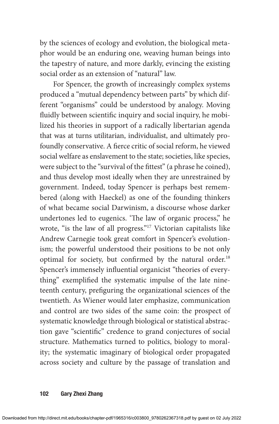by the sciences of ecology and evolution, the biological metaphor would be an enduring one, weaving human beings into the tapestry of nature, and more darkly, evincing the existing social order as an extension of "natural" law.

For Spencer, the growth of increasingly complex systems produced a "mutual dependency between parts" by which different "organisms" could be understood by analogy. Moving fluidly between scientific inquiry and social inquiry, he mobilized his theories in support of a radically libertarian agenda that was at turns utilitarian, individualist, and ultimately profoundly conservative. A fierce critic of social reform, he viewed social welfare as enslavement to the state; societies, like species, were subject to the "survival of the fittest" (a phrase he coined), and thus develop most ideally when they are unrestrained by government. Indeed, today Spencer is perhaps best remembered (along with Haeckel) as one of the founding thinkers of what became social Darwinism, a discourse whose darker undertones led to eugenics. 'The law of organic process," he wrote, "is the law of all progress."17 Victorian capitalists like Andrew Carnegie took great comfort in Spencer's evolutionism; the powerful understood their positions to be not only optimal for society, but confirmed by the natural order.<sup>18</sup> Spencer's immensely influential organicist "theories of everything" exemplified the systematic impulse of the late nineteenth century, prefiguring the organizational sciences of the twentieth. As Wiener would later emphasize, communication and control are two sides of the same coin: the prospect of systematic knowledge through biological or statistical abstraction gave "scientific" credence to grand conjectures of social structure. Mathematics turned to politics, biology to morality; the systematic imaginary of biological order propagated across society and culture by the passage of translation and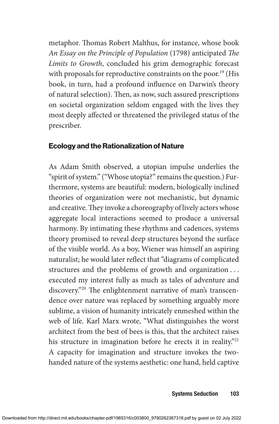metaphor. Thomas Robert Malthus, for instance, whose book *An Essay on the Principle of Population* (1798) anticipated *The Limits to Growth*, concluded his grim demographic forecast with proposals for reproductive constraints on the poor.<sup>19</sup> (His book, in turn, had a profound influence on Darwin's theory of natural selection). Then, as now, such assured prescriptions on societal organization seldom engaged with the lives they most deeply affected or threatened the privileged status of the prescriber.

## Ecology and the Rationalization of Nature

As Adam Smith observed, a utopian impulse underlies the "spirit of system." ("Whose utopia?" remains the question.) Furthermore, systems are beautiful: modern, biologically inclined theories of organization were not mechanistic, but dynamic and creative. They invoke a choreography of lively actors whose aggregate local interactions seemed to produce a universal harmony. By intimating these rhythms and cadences, systems theory promised to reveal deep structures beyond the surface of the visible world. As a boy, Wiener was himself an aspiring naturalist; he would later reflect that "diagrams of complicated structures and the problems of growth and organization . . . executed my interest fully as much as tales of adventure and discovery."20 The enlightenment narrative of man's transcendence over nature was replaced by something arguably more sublime, a vision of humanity intricately enmeshed within the web of life. Karl Marx wrote, "What distinguishes the worst architect from the best of bees is this, that the architect raises his structure in imagination before he erects it in reality."<sup>21</sup> A capacity for imagination and structure invokes the twohanded nature of the systems aesthetic: one hand, held captive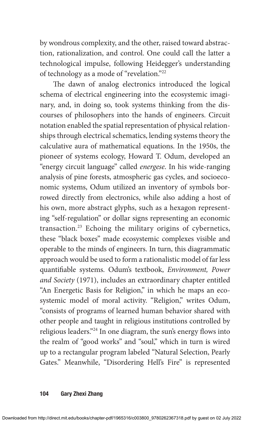by wondrous complexity, and the other, raised toward abstraction, rationalization, and control. One could call the latter a technological impulse, following Heidegger's understanding of technology as a mode of "revelation."22

The dawn of analog electronics introduced the logical schema of electrical engineering into the ecosystemic imaginary, and, in doing so, took systems thinking from the discourses of philosophers into the hands of engineers. Circuit notation enabled the spatial representation of physical relationships through electrical schematics, lending systems theory the calculative aura of mathematical equations. In the 1950s, the pioneer of systems ecology, Howard T. Odum, developed an "energy circuit language" called *energese*. In his wide-ranging analysis of pine forests, atmospheric gas cycles, and socioeconomic systems, Odum utilized an inventory of symbols borrowed directly from electronics, while also adding a host of his own, more abstract glyphs, such as a hexagon representing "self-regulation" or dollar signs representing an economic transaction.23 Echoing the military origins of cybernetics, these "black boxes" made ecosystemic complexes visible and operable to the minds of engineers. In turn, this diagrammatic approach would be used to form a rationalistic model of far less quantifiable systems. Odum's textbook, *Environment, Power and Society* (1971), includes an extraordinary chapter entitled "An Energetic Basis for Religion," in which he maps an ecosystemic model of moral activity. "Religion," writes Odum, "consists of programs of learned human behavior shared with other people and taught in religious institutions controlled by religious leaders."24 In one diagram, the sun's energy flows into the realm of "good works" and "soul," which in turn is wired up to a rectangular program labeled "Natural Selection, Pearly Gates." Meanwhile, "Disordering Hell's Fire" is represented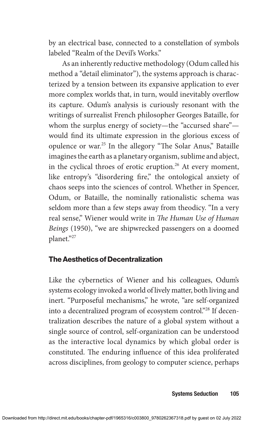by an electrical base, connected to a constellation of symbols labeled "Realm of the Devil's Works."

As an inherently reductive methodology (Odum called his method a "detail eliminator"), the systems approach is characterized by a tension between its expansive application to ever more complex worlds that, in turn, would inevitably overflow its capture. Odum's analysis is curiously resonant with the writings of surrealist French philosopher Georges Bataille, for whom the surplus energy of society—the "accursed share" would find its ultimate expression in the glorious excess of opulence or war.<sup>25</sup> In the allegory "The Solar Anus," Bataille imagines the earth as a planetary organism, sublime and abject, in the cyclical throes of erotic eruption.<sup>26</sup> At every moment, like entropy's "disordering fire," the ontological anxiety of chaos seeps into the sciences of control. Whether in Spencer, Odum, or Bataille, the nominally rationalistic schema was seldom more than a few steps away from theodicy. "In a very real sense," Wiener would write in *The Human Use of Human Beings* (1950), "we are shipwrecked passengers on a doomed planet."27

## The Aesthetics of Decentralization

Like the cybernetics of Wiener and his colleagues, Odum's systems ecology invoked a world of lively matter, both living and inert. "Purposeful mechanisms," he wrote, "are self-organized into a decentralized program of ecosystem control."<sup>28</sup> If decentralization describes the nature of a global system without a single source of control, self-organization can be understood as the interactive local dynamics by which global order is constituted. The enduring influence of this idea proliferated across disciplines, from geology to computer science, perhaps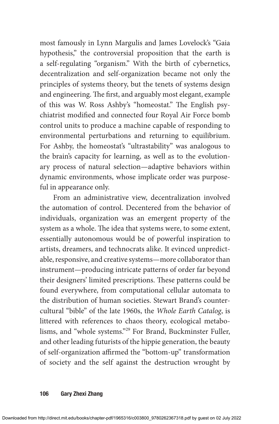most famously in Lynn Margulis and James Lovelock's "Gaia hypothesis," the controversial proposition that the earth is a self-regulating "organism." With the birth of cybernetics, decentralization and self-organization became not only the principles of systems theory, but the tenets of systems design and engineering. The first, and arguably most elegant, example of this was W. Ross Ashby's "homeostat." The English psychiatrist modified and connected four Royal Air Force bomb control units to produce a machine capable of responding to environmental perturbations and returning to equilibrium. For Ashby, the homeostat's "ultrastability" was analogous to the brain's capacity for learning, as well as to the evolutionary process of natural selection—adaptive behaviors within dynamic environments, whose implicate order was purposeful in appearance only.

From an administrative view, decentralization involved the automation of control. Decentered from the behavior of individuals, organization was an emergent property of the system as a whole. The idea that systems were, to some extent, essentially autonomous would be of powerful inspiration to artists, dreamers, and technocrats alike. It evinced unpredictable, responsive, and creative systems—more collaborator than instrument—producing intricate patterns of order far beyond their designers' limited prescriptions. These patterns could be found everywhere, from computational cellular automata to the distribution of human societies. Stewart Brand's countercultural "bible" of the late 1960s, the *Whole Earth Catalog*, is littered with references to chaos theory, ecological metabolisms, and "whole systems."29 For Brand, Buckminster Fuller, and other leading futurists of the hippie generation, the beauty of self-organization affirmed the "bottom-up" transformation of society and the self against the destruction wrought by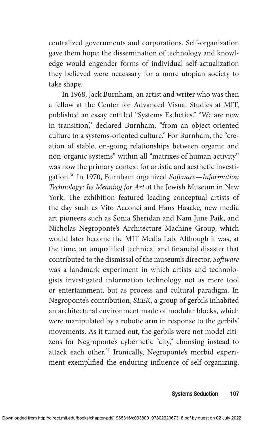centralized governments and corporations. Self-organization gave them hope: the dissemination of technology and knowledge would engender forms of individual self-actualization they believed were necessary for a more utopian society to take shape.

In 1968, Jack Burnham, an artist and writer who was then a fellow at the Center for Advanced Visual Studies at MIT, published an essay entitled "Systems Esthetics." "We are now in transition," declared Burnham, "from an object-oriented culture to a systems-oriented culture." For Burnham, the "creation of stable, on-going relationships between organic and non-organic systems" within all "matrixes of human activity" was now the primary context for artistic and aesthetic investigation.30 In 1970, Burnham organized *Software—Information Technology: Its Meaning for Art* at the Jewish Museum in New York. The exhibition featured leading conceptual artists of the day such as Vito Acconci and Hans Haacke, new media art pioneers such as Sonia Sheridan and Nam June Paik, and Nicholas Negroponte's Architecture Machine Group, which would later become the MIT Media Lab. Although it was, at the time, an unqualified technical and financial disaster that contributed to the dismissal of the museum's director, *Software* was a landmark experiment in which artists and technologists investigated information technology not as mere tool or entertainment, but as process and cultural paradigm. In Negroponte's contribution, *SEEK*, a group of gerbils inhabited an architectural environment made of modular blocks, which were manipulated by a robotic arm in response to the gerbils' movements. As it turned out, the gerbils were not model citizens for Negroponte's cybernetic "city," choosing instead to attack each other.<sup>31</sup> Ironically, Negroponte's morbid experiment exemplified the enduring influence of self-organizing,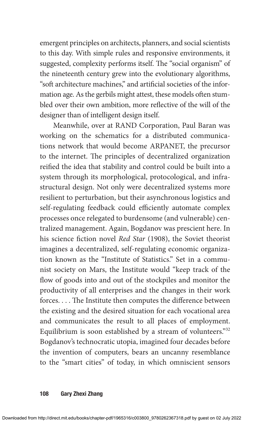emergent principles on architects, planners, and social scientists to this day. With simple rules and responsive environments, it suggested, complexity performs itself. The "social organism" of the nineteenth century grew into the evolutionary algorithms, "soft architecture machines," and artificial societies of the information age. As the gerbils might attest, these models often stumbled over their own ambition, more reflective of the will of the designer than of intelligent design itself.

Meanwhile, over at RAND Corporation, Paul Baran was working on the schematics for a distributed communications network that would become ARPANET, the precursor to the internet. The principles of decentralized organization reified the idea that stability and control could be built into a system through its morphological, protocological, and infrastructural design. Not only were decentralized systems more resilient to perturbation, but their asynchronous logistics and self-regulating feedback could efficiently automate complex processes once relegated to burdensome (and vulnerable) centralized management. Again, Bogdanov was prescient here. In his science fiction novel *Red Star* (1908), the Soviet theorist imagines a decentralized, self-regulating economic organization known as the "Institute of Statistics." Set in a communist society on Mars, the Institute would "keep track of the flow of goods into and out of the stockpiles and monitor the productivity of all enterprises and the changes in their work forces. . . . The Institute then computes the difference between the existing and the desired situation for each vocational area and communicates the result to all places of employment. Equilibrium is soon established by a stream of volunteers."32 Bogdanov's technocratic utopia, imagined four decades before the invention of computers, bears an uncanny resemblance to the "smart cities" of today, in which omniscient sensors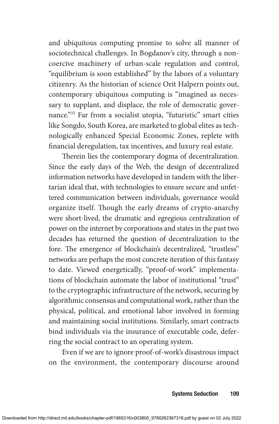and ubiquitous computing promise to solve all manner of sociotechnical challenges. In Bogdanov's city, through a noncoercive machinery of urban-scale regulation and control, "equilibrium is soon established" by the labors of a voluntary citizenry. As the historian of science Orit Halpern points out, contemporary ubiquitous computing is "imagined as necessary to supplant, and displace, the role of democratic governance."33 Far from a socialist utopia, "futuristic" smart cities like Songdo, South Korea, are marketed to global elites as technologically enhanced Special Economic Zones, replete with financial deregulation, tax incentives, and luxury real estate.

Therein lies the contemporary dogma of decentralization. Since the early days of the Web, the design of decentralized information networks have developed in tandem with the libertarian ideal that, with technologies to ensure secure and unfettered communication between individuals, governance would organize itself. Though the early dreams of crypto-anarchy were short-lived, the dramatic and egregious centralization of power on the internet by corporations and states in the past two decades has returned the question of decentralization to the fore. The emergence of blockchain's decentralized, "trustless" networks are perhaps the most concrete iteration of this fantasy to date. Viewed energetically, "proof-of-work" implementations of blockchain automate the labor of institutional "trust" to the cryptographic infrastructure of the network, securing by algorithmic consensus and computational work, rather than the physical, political, and emotional labor involved in forming and maintaining social institutions. Similarly, smart contracts bind individuals via the insurance of executable code, deferring the social contract to an operating system.

Even if we are to ignore proof-of-work's disastrous impact on the environment, the contemporary discourse around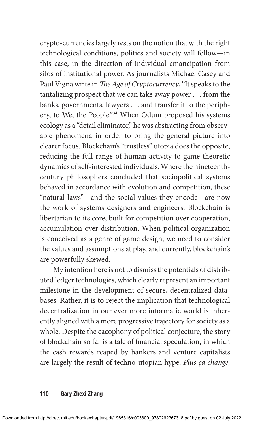crypto-currencies largely rests on the notion that with the right technological conditions, politics and society will follow—in this case, in the direction of individual emancipation from silos of institutional power. As journalists Michael Casey and Paul Vigna write in *The Age of Cryptocurrency*, "It speaks to the tantalizing prospect that we can take away power . . . from the banks, governments, lawyers . . . and transfer it to the periphery, to We, the People."<sup>34</sup> When Odum proposed his systems ecology as a "detail eliminator," he was abstracting from observable phenomena in order to bring the general picture into clearer focus. Blockchain's "trustless" utopia does the opposite, reducing the full range of human activity to game-theoretic dynamics of self-interested individuals. Where the nineteenthcentury philosophers concluded that sociopolitical systems behaved in accordance with evolution and competition, these "natural laws"—and the social values they encode—are now the work of systems designers and engineers. Blockchain is libertarian to its core, built for competition over cooperation, accumulation over distribution. When political organization is conceived as a genre of game design, we need to consider the values and assumptions at play, and currently, blockchain's are powerfully skewed.

My intention here is not to dismiss the potentials of distributed ledger technologies, which clearly represent an important milestone in the development of secure, decentralized databases. Rather, it is to reject the implication that technological decentralization in our ever more informatic world is inherently aligned with a more progressive trajectory for society as a whole. Despite the cacophony of political conjecture, the story of blockchain so far is a tale of financial speculation, in which the cash rewards reaped by bankers and venture capitalists are largely the result of techno-utopian hype. *Plus ça change,*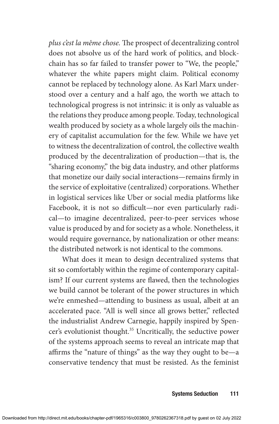*plus c'est la même chose.* The prospect of decentralizing control does not absolve us of the hard work of politics, and blockchain has so far failed to transfer power to "We, the people," whatever the white papers might claim. Political economy cannot be replaced by technology alone. As Karl Marx understood over a century and a half ago, the worth we attach to technological progress is not intrinsic: it is only as valuable as the relations they produce among people. Today, technological wealth produced by society as a whole largely oils the machinery of capitalist accumulation for the few. While we have yet to witness the decentralization of control, the collective wealth produced by the decentralization of production—that is, the "sharing economy," the big data industry, and other platforms that monetize our daily social interactions—remains firmly in the service of exploitative (centralized) corporations. Whether in logistical services like Uber or social media platforms like Facebook, it is not so difficult—nor even particularly radical—to imagine decentralized, peer-to-peer services whose value is produced by and for society as a whole. Nonetheless, it would require governance, by nationalization or other means: the distributed network is not identical to the commons.

What does it mean to design decentralized systems that sit so comfortably within the regime of contemporary capitalism? If our current systems are flawed, then the technologies we build cannot be tolerant of the power structures in which we're enmeshed—attending to business as usual, albeit at an accelerated pace. "All is well since all grows better," reflected the industrialist Andrew Carnegie, happily inspired by Spencer's evolutionist thought.<sup>35</sup> Uncritically, the seductive power of the systems approach seems to reveal an intricate map that affirms the "nature of things" as the way they ought to be—a conservative tendency that must be resisted. As the feminist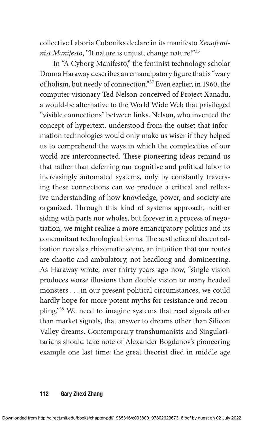collective Laboria Cuboniks declare in its manifesto *Xenofeminist Manifesto*, "If nature is unjust, change nature!"36

In "A Cyborg Manifesto," the feminist technology scholar Donna Haraway describes an emancipatory figure that is "wary of holism, but needy of connection."37 Even earlier, in 1960, the computer visionary Ted Nelson conceived of Project Xanadu, a would-be alternative to the World Wide Web that privileged "visible connections" between links. Nelson, who invented the concept of hypertext, understood from the outset that information technologies would only make us wiser if they helped us to comprehend the ways in which the complexities of our world are interconnected. These pioneering ideas remind us that rather than deferring our cognitive and political labor to increasingly automated systems, only by constantly traversing these connections can we produce a critical and reflexive understanding of how knowledge, power, and society are organized. Through this kind of systems approach, neither siding with parts nor wholes, but forever in a process of negotiation, we might realize a more emancipatory politics and its concomitant technological forms. The aesthetics of decentralization reveals a rhizomatic scene, an intuition that our routes are chaotic and ambulatory, not headlong and domineering. As Haraway wrote, over thirty years ago now, "single vision produces worse illusions than double vision or many headed monsters . . . in our present political circumstances, we could hardly hope for more potent myths for resistance and recoupling."38 We need to imagine systems that read signals other than market signals, that answer to dreams other than Silicon Valley dreams. Contemporary transhumanists and Singularitarians should take note of Alexander Bogdanov's pioneering example one last time: the great theorist died in middle age

#### 112 Gary Zhexi Zhang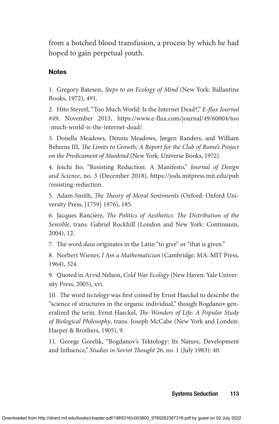from a botched blood transfusion, a process by which he had hoped to gain perpetual youth.

#### Notes

1. Gregory Bateson, *Steps to an Ecology of Mind* (New York: Ballantine Books, 1972), 491.

2. Hito Steyerl, "Too Much World: Is the Internet Dead?," *E-flux Journal #49*, November 2013, [https://www.e-flux.com/journal/49/60004/too](https://www.e-flux.com/journal/49/60004/too-much-world-is-the-internet-dead/) [-much-world-is-the-internet-dead/.](https://www.e-flux.com/journal/49/60004/too-much-world-is-the-internet-dead/)

3. Donella Meadows, Dennis Meadows, Jørgen Randers, and William Behrens III, *The Limits to Growth; A Report for the Club of Rome's Project on the Predicament of Mankind* (New York: Universe Books, 1972).

4. Joichi Ito, "Resisting Reduction: A Manifesto," *Journal of Design and Science*, no. 3 (December 2018), [https://jods.mitpress.mit.edu/pub](https://jods.mitpress.mit.edu/pub/resisting-reduction) [/resisting-reduction](https://jods.mitpress.mit.edu/pub/resisting-reduction).

5. Adam Smith, *The Theory of Moral Sentiments* (Oxford: Oxford University Press, [1759] 1976), 185.

6. Jacques Rancière, *The Politics of Aesthetics: The Distribution of the Sensible*, trans. Gabriel Rockhill (London and New York: Continuum, 2004), 12.

7. The word *data* originates in the Latin "to give" or "that is given."

8. Norbert Wiener, *I Am a Mathematician* (Cambridge, MA: MIT Press, 1964), 324.

9. Quoted in Arvid Nelson, *Cold War Ecology* (New Haven: Yale University Press, 2005), xvi.

10. The word *tectology* was first coined by Ernst Haeckel to describe the "science of structures in the organic individual," though Bogdanov generalized the term. Ernst Haeckel, *The Wonders of Life: A Popular Study of Biological Philosophy*, trans. Joseph McCabe (New York and London: Harper & Brothers, 1905), 9.

11. George Gorelik, "Bogdanov's Tektology: Its Nature, Development and Influence," *Studies in Soviet Thought* 26, no. 1 (July 1983): 40.

#### Systems Seduction 113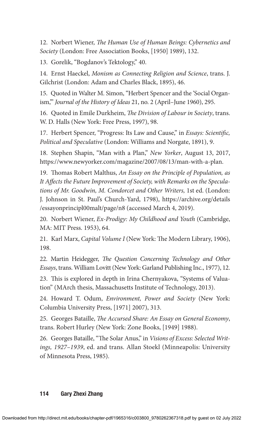12. Norbert Wiener, *The Human Use of Human Beings: Cybernetics and Society* (London: Free Association Books, [1950] 1989), 132.

13. Gorelik, "Bogdanov's Tektology," 40.

14. Ernst Haeckel, *Monism as Connecting Religion and Science*, trans. J. Gilchrist (London: Adam and Charles Black, 1895), 46.

15. Quoted in Walter M. Simon, "Herbert Spencer and the 'Social Organism,'" *Journal of the History of Ideas* 21, no. 2 (April–June 1960), 295.

16. Quoted in Emile Durkheim, *The Division of Labour in Society*, trans. W. D. Halls (New York: Free Press, 1997), 98.

17. Herbert Spencer, "Progress: Its Law and Cause," in *Essays: Scientific, Political and Speculative* (London: Williams and Norgate, 1891), 9.

18. Stephen Shapin, "Man with a Plan," *New Yorker*, August 13, 2017, [https://www.newyorker.com/magazine/2007/08/13/man-with-a-plan.](https://www.newyorker.com/magazine/2007/08/13/man-with-a-plan)

19. Thomas Robert Malthus, *An Essay on the Principle of Population, as It Affects the Future Improvement of Society, with Remarks on the Speculations of Mr. Goodwin, M. Condorcet and Other Writers,* 1st ed. (London: J. Johnson in St. Paul's Church-Yard, 1798), [https://archive.org/details](https://archive.org/details/essayonprincipl00malt/page/n8) [/essayonprincipl00malt/page/n8](https://archive.org/details/essayonprincipl00malt/page/n8) (accessed March 4, 2019).

20. Norbert Wiener, *Ex-Prodigy: My Childhood and Youth* (Cambridge, MA: MIT Press. 1953), 64.

21. Karl Marx, *Capital Volume I* (New York: The Modern Library, 1906), 198.

22. Martin Heidegger, *The Question Concerning Technology and Other Essays*, trans. William Lovitt (New York: Garland Publishing Inc., 1977), 12.

23. This is explored in depth in Irina Chernyakova, "Systems of Valuation" (MArch thesis, Massachusetts Institute of Technology, 2013).

24. Howard T. Odum, *Environment, Power and Society* (New York: Columbia University Press, [1971] 2007), 313.

25. Georges Bataille, *The Accursed Share: An Essay on General Economy*, trans. Robert Hurley (New York: Zone Books, [1949] 1988).

26. Georges Bataille, "The Solar Anus," in *Visions of Excess: Selected Writings, 1927–1939*, ed. and trans. Allan Stoekl (Minneapolis: University of Minnesota Press, 1985).

#### 114 Gary Zhexi Zhang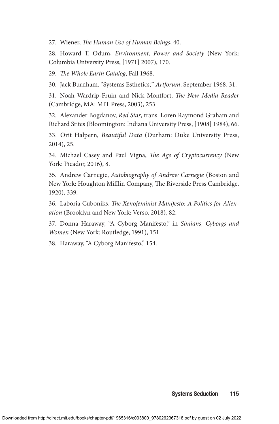27. Wiener, *The Human Use of Human Beings*, 40.

28. Howard T. Odum, *Environment, Power and Society* (New York: Columbia University Press, [1971] 2007), 170.

29. *The Whole Earth Catalog*, Fall 1968.

30. Jack Burnham, "Systems Esthetics,"' *Artforum*, September 1968, 31.

31. Noah Wardrip-Fruin and Nick Montfort, *The New Media Reader* (Cambridge, MA: MIT Press, 2003), 253.

32. Alexander Bogdanov, *Red Star*, trans. Loren Raymond Graham and Richard Stites (Bloomington: Indiana University Press, [1908] 1984), 66.

33. Orit Halpern, *Beautiful Data* (Durham: Duke University Press, 2014), 25.

34. Michael Casey and Paul Vigna, *The Age of Cryptocurrency* (New York: Picador, 2016), 8.

35. Andrew Carnegie, *Autobiography of Andrew Carnegie* (Boston and New York: Houghton Mifflin Company, The Riverside Press Cambridge, 1920), 339.

36. Laboria Cuboniks, *The Xenofeminist Manifesto: A Politics for Alienation* (Brooklyn and New York: Verso, 2018), 82.

37. Donna Haraway, "A Cyborg Manifesto," in *Simians, Cyborgs and Women* (New York: Routledge, 1991), 151.

38. Haraway, "A Cyborg Manifesto," 154.